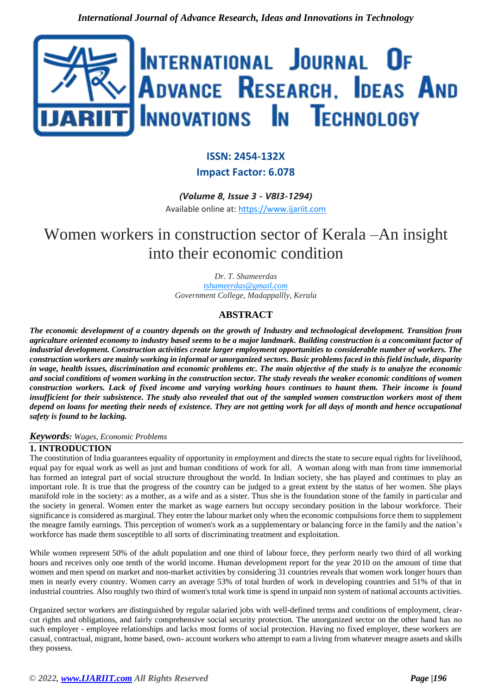

## **ISSN: 2454-132X**

## **Impact Factor: 6.078**

*(Volume 8, Issue 3 - V8I3-1294)*

Available online at: [https://www.ijariit.com](https://www.ijariit.com/?utm_source=pdf&utm_medium=edition&utm_campaign=OmAkSols&utm_term=V8I3-1294)

# Women workers in construction sector of Kerala –An insight into their economic condition

*Dr. T. Shameerdas [tshameerdas@gmail.com](mailto:tshameerdas@gmail.com) Government College, Madappallly, Kerala*

## **ABSTRACT**

*The economic development of a country depends on the growth of Industry and technological development. Transition from agriculture oriented economy to industry based seems to be a major landmark. Building construction is a concomitant factor of industrial development. Construction activities create larger employment opportunities to considerable number of workers. The construction workers are mainly working in informal or unorganized sectors. Basic problems faced in this field include, disparity in wage, health issues, discrimination and economic problems etc. The main objective of the study is to analyze the economic and social conditions of women working in the construction sector. The study reveals the weaker economic conditions of women construction workers. Lack of fixed income and varying working hours continues to haunt them. Their income is found insufficient for their subsistence. The study also revealed that out of the sampled women construction workers most of them depend on loans for meeting their needs of existence. They are not getting work for all days of month and hence occupational safety is found to be lacking.*

## *Keywords: Wages, Economic Problems*

## **1. INTRODUCTION**

The constitution of India guarantees equality of opportunity in employment and directs the state to secure equal rights for livelihood, equal pay for equal work as well as just and human conditions of work for all. A woman along with man from time immemorial has formed an integral part of social structure throughout the world. In Indian society, she has played and continues to play an important role. It is true that the progress of the country can be judged to a great extent by the status of her women. She plays manifold role in the society: as a mother, as a wife and as a sister. Thus she is the foundation stone of the family in particular and the society in general. Women enter the market as wage earners but occupy secondary position in the labour workforce. Their significance is considered as marginal. They enter the labour market only when the economic compulsions force them to supplement the meagre family earnings. This perception of women's work as a supplementary or balancing force in the family and the nation's workforce has made them susceptible to all sorts of discriminating treatment and exploitation.

While women represent 50% of the adult population and one third of labour force, they perform nearly two third of all working hours and receives only one tenth of the world income. Human development report for the year 2010 on the amount of time that women and men spend on market and non-market activities by considering 31 countries reveals that women work longer hours than men in nearly every country. Women carry an average 53% of total burden of work in developing countries and 51% of that in industrial countries. Also roughly two third of women's total work time is spend in unpaid non system of national accounts activities.

Organized sector workers are distinguished by regular salaried jobs with well-defined terms and conditions of employment, clearcut rights and obligations, and fairly comprehensive social security protection. The unorganized sector on the other hand has no such employer - employee relationships and lacks most forms of social protection. Having no fixed employer, these workers are casual, contractual, migrant, home based, own- account workers who attempt to earn a living from whatever meagre assets and skills they possess.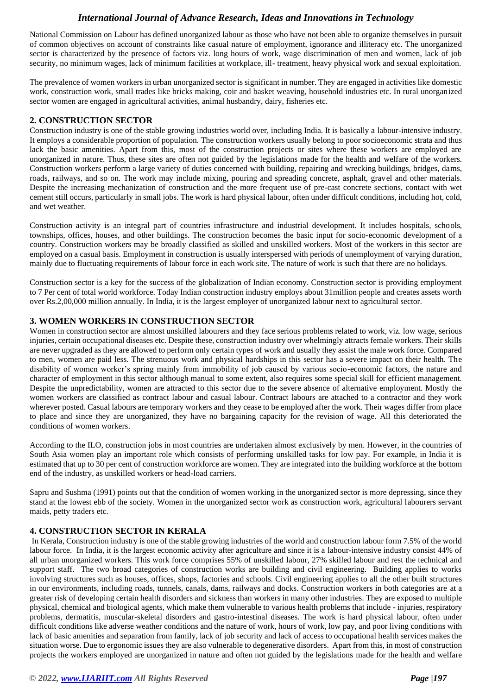National Commission on Labour has defined unorganized labour as those who have not been able to organize themselves in pursuit of common objectives on account of constraints like casual nature of employment, ignorance and illiteracy etc. The unorganized sector is characterized by the presence of factors viz. long hours of work, wage discrimination of men and women, lack of job security, no minimum wages, lack of minimum facilities at workplace, ill- treatment, heavy physical work and sexual exploitation.

The prevalence of women workers in urban unorganized sector is significant in number. They are engaged in activities like domestic work, construction work, small trades like bricks making, coir and basket weaving, household industries etc. In rural unorganized sector women are engaged in agricultural activities, animal husbandry, dairy, fisheries etc.

## **2. CONSTRUCTION SECTOR**

Construction industry is one of the stable growing industries world over, including India. It is basically a labour-intensive industry. It employs a considerable proportion of population. The construction workers usually belong to poor socioeconomic strata and thus lack the basic amenities. Apart from this, most of the construction projects or sites where these workers are employed are unorganized in nature. Thus, these sites are often not guided by the legislations made for the health and welfare of the workers. Construction workers perform a large variety of duties concerned with building, repairing and wrecking buildings, bridges, dams, roads, railways, and so on. The work may include mixing, pouring and spreading concrete, asphalt, gravel and other materials. Despite the increasing mechanization of construction and the more frequent use of pre-cast concrete sections, contact with wet cement still occurs, particularly in small jobs. The work is hard physical labour, often under difficult conditions, including hot, cold, and wet weather.

Construction activity is an integral part of countries infrastructure and industrial development. It includes hospitals, schools, townships, offices, houses, and other buildings. The construction becomes the basic input for socio-economic development of a country. Construction workers may be broadly classified as skilled and unskilled workers. Most of the workers in this sector are employed on a casual basis. Employment in construction is usually interspersed with periods of unemployment of varying duration, mainly due to fluctuating requirements of labour force in each work site. The nature of work is such that there are no holidays.

Construction sector is a key for the success of the globalization of Indian economy. Construction sector is providing employment to 7 Per cent of total world workforce. Today Indian construction industry employs about 31million people and creates assets worth over Rs.2,00,000 million annually. In India, it is the largest employer of unorganized labour next to agricultural sector.

## **3. WOMEN WORKERS IN CONSTRUCTION SECTOR**

Women in construction sector are almost unskilled labourers and they face serious problems related to work, viz. low wage, serious injuries, certain occupational diseases etc. Despite these, construction industry over whelmingly attracts female workers. Their skills are never upgraded as they are allowed to perform only certain types of work and usually they assist the male work force. Compared to men, women are paid less. The strenuous work and physical hardships in this sector has a severe impact on their health. The disability of women worker's spring mainly from immobility of job caused by various socio-economic factors, the nature and character of employment in this sector although manual to some extent, also requires some special skill for efficient management. Despite the unpredictability, women are attracted to this sector due to the severe absence of alternative employment. Mostly the women workers are classified as contract labour and casual labour. Contract labours are attached to a contractor and they work wherever posted. Casual labours are temporary workers and they cease to be employed after the work. Their wages differ from place to place and since they are unorganized, they have no bargaining capacity for the revision of wage. All this deteriorated the conditions of women workers.

According to the ILO, construction jobs in most countries are undertaken almost exclusively by men. However, in the countries of South Asia women play an important role which consists of performing unskilled tasks for low pay. For example, in India it is estimated that up to 30 per cent of construction workforce are women. They are integrated into the building workforce at the bottom end of the industry, as unskilled workers or head-load carriers.

Sapru and Sushma (1991) points out that the condition of women working in the unorganized sector is more depressing, since they stand at the lowest ebb of the society. Women in the unorganized sector work as construction work, agricultural labourers servant maids, petty traders etc.

### **4. CONSTRUCTION SECTOR IN KERALA**

In Kerala, Construction industry is one of the stable growing industries of the world and construction labour form 7.5% of the world labour force. In India, it is the largest economic activity after agriculture and since it is a labour-intensive industry consist 44% of all urban unorganized workers. This work force comprises 55% of unskilled labour, 27% skilled labour and rest the technical and support staff. The two broad categories of construction works are building and civil engineering. Building applies to works involving structures such as houses, offices, shops, factories and schools. Civil engineering applies to all the other built structures in our environments, including roads, tunnels, canals, dams, railways and docks. Construction workers in both categories are at a greater risk of developing certain health disorders and sickness than workers in many other industries. They are exposed to multiple physical, chemical and biological agents, which make them vulnerable to various health problems that include - injuries, respiratory problems, dermatitis, muscular-skeletal disorders and gastro-intestinal diseases. The work is hard physical labour, often under difficult conditions like adverse weather conditions and the nature of work, hours of work, low pay, and poor living conditions with lack of basic amenities and separation from family, lack of job security and lack of access to occupational health services makes the situation worse. Due to ergonomic issues they are also vulnerable to degenerative disorders. Apart from this, in most of construction projects the workers employed are unorganized in nature and often not guided by the legislations made for the health and welfare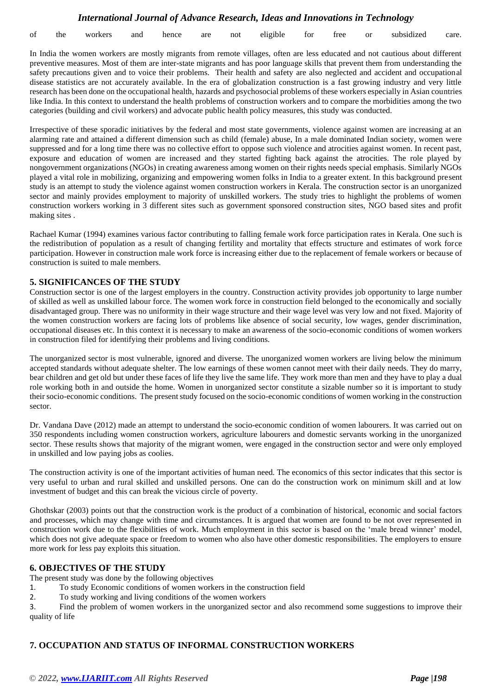| of the |  | workers | and | the contract of the contract of the contract of<br>hence | are |  | not eligible | for | free | <sub>or</sub> | subsidized | care. |
|--------|--|---------|-----|----------------------------------------------------------|-----|--|--------------|-----|------|---------------|------------|-------|
|--------|--|---------|-----|----------------------------------------------------------|-----|--|--------------|-----|------|---------------|------------|-------|

In India the women workers are mostly migrants from remote villages, often are less educated and not cautious about different preventive measures. Most of them are inter-state migrants and has poor language skills that prevent them from understanding the safety precautions given and to voice their problems. Their health and safety are also neglected and accident and occupational disease statistics are not accurately available. In the era of globalization construction is a fast growing industry and very little research has been done on the occupational health, hazards and psychosocial problems of these workers especially in Asian countries like India. In this context to understand the health problems of construction workers and to compare the morbidities among the two categories (building and civil workers) and advocate public health policy measures, this study was conducted.

Irrespective of these sporadic initiatives by the federal and most state governments, violence against women are increasing at an alarming rate and attained a different dimension such as child (female) abuse, In a male dominated Indian society, women were suppressed and for a long time there was no collective effort to oppose such violence and atrocities against women. In recent past, exposure and education of women are increased and they started fighting back against the atrocities. The role played by nongovernment organizations (NGOs) in creating awareness among women on their rights needs special emphasis. Similarly NGOs played a vital role in mobilizing, organizing and empowering women folks in India to a greater extent. In this background present study is an attempt to study the violence against women construction workers in Kerala. The construction sector is an unorganized sector and mainly provides employment to majority of unskilled workers. The study tries to highlight the problems of women construction workers working in 3 different sites such as government sponsored construction sites, NGO based sites and profit making sites .

Rachael Kumar (1994) examines various factor contributing to falling female work force participation rates in Kerala. One such is the redistribution of population as a result of changing fertility and mortality that effects structure and estimates of work force participation. However in construction male work force is increasing either due to the replacement of female workers or because of construction is suited to male members.

#### **5. SIGNIFICANCES OF THE STUDY**

Construction sector is one of the largest employers in the country. Construction activity provides job opportunity to large number of skilled as well as unskilled labour force. The women work force in construction field belonged to the economically and socially disadvantaged group. There was no uniformity in their wage structure and their wage level was very low and not fixed. Majority of the women construction workers are facing lots of problems like absence of social security, low wages, gender discrimination, occupational diseases etc. In this context it is necessary to make an awareness of the socio-economic conditions of women workers in construction filed for identifying their problems and living conditions.

The unorganized sector is most vulnerable, ignored and diverse. The unorganized women workers are living below the minimum accepted standards without adequate shelter. The low earnings of these women cannot meet with their daily needs. They do marry, bear children and get old but under these faces of life they live the same life. They work more than men and they have to play a dual role working both in and outside the home. Women in unorganized sector constitute a sizable number so it is important to study their socio-economic conditions. The present study focused on the socio-economic conditions of women working in the construction sector.

Dr. Vandana Dave (2012) made an attempt to understand the socio-economic condition of women labourers. It was carried out on 350 respondents including women construction workers, agriculture labourers and domestic servants working in the unorganized sector. These results shows that majority of the migrant women, were engaged in the construction sector and were only employed in unskilled and low paying jobs as coolies.

The construction activity is one of the important activities of human need. The economics of this sector indicates that this sector is very useful to urban and rural skilled and unskilled persons. One can do the construction work on minimum skill and at low investment of budget and this can break the vicious circle of poverty.

Ghothskar (2003) points out that the construction work is the product of a combination of historical, economic and social factors and processes, which may change with time and circumstances. It is argued that women are found to be not over represented in construction work due to the flexibilities of work. Much employment in this sector is based on the 'male bread winner' model, which does not give adequate space or freedom to women who also have other domestic responsibilities. The employers to ensure more work for less pay exploits this situation.

#### **6. OBJECTIVES OF THE STUDY**

The present study was done by the following objectives

- 1. To study Economic conditions of women workers in the construction field
- 2. To study working and living conditions of the women workers

3. Find the problem of women workers in the unorganized sector and also recommend some suggestions to improve their quality of life

### **7. OCCUPATION AND STATUS OF INFORMAL CONSTRUCTION WORKERS**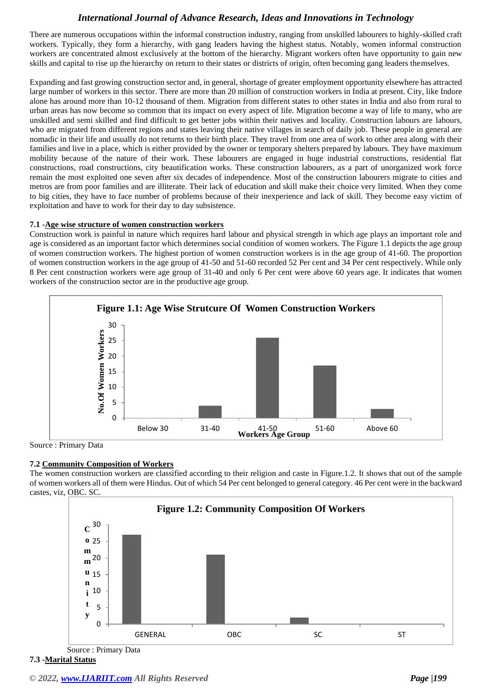There are numerous occupations within the informal construction industry, ranging from unskilled labourers to highly-skilled craft workers. Typically, they form a hierarchy, with gang leaders having the highest status. Notably, women informal construction workers are concentrated almost exclusively at the bottom of the hierarchy. Migrant workers often have opportunity to gain new skills and capital to rise up the hierarchy on return to their states or districts of origin, often becoming gang leaders themselves.

Expanding and fast growing construction sector and, in general, shortage of greater employment opportunity elsewhere has attracted large number of workers in this sector. There are more than 20 million of construction workers in India at present. City, like Indore alone has around more than 10-12 thousand of them. Migration from different states to other states in India and also from rural to urban areas has now become so common that its impact on every aspect of life. Migration become a way of life to many, who are unskilled and semi skilled and find difficult to get better jobs within their natives and locality. Construction labours are labours, who are migrated from different regions and states leaving their native villages in search of daily job. These people in general are nomadic in their life and usually do not returns to their birth place. They travel from one area of work to other area along with their families and live in a place, which is either provided by the owner or temporary shelters prepared by labours. They have maximum mobility because of the nature of their work. These labourers are engaged in huge industrial constructions, residential flat constructions, road constructions, city beautification works. These construction labourers, as a part of unorganized work force remain the most exploited one seven after six decades of independence. Most of the construction labourers migrate to cities and metros are from poor families and are illiterate. Their lack of education and skill make their choice very limited. When they come to big cities, they have to face number of problems because of their inexperience and lack of skill. They become easy victim of exploitation and have to work for their day to day subsistence.

### **7.1 -Age wise structure of women construction workers**

Construction work is painful in nature which requires hard labour and physical strength in which age plays an important role and age is considered as an important factor which determines social condition of women workers. The Figure 1.1 depicts the age group of women construction workers. The highest portion of women construction workers is in the age group of 41-60. The proportion of women construction workers in the age group of 41-50 and 51-60 recorded 52 Per cent and 34 Per cent respectively. While only 8 Per cent construction workers were age group of 31-40 and only 6 Per cent were above 60 years age. It indicates that women workers of the construction sector are in the productive age group.



Source : Primary Data

### **7.2 Community Composition of Workers**

The women construction workers are classified according to their religion and caste in Figure.1.2. It shows that out of the sample of women workers all of them were Hindus. Out of which 54 Per cent belonged to general category. 46 Per cent were in the backward castes, viz, OBC. SC.



**7.3 -Marital Status**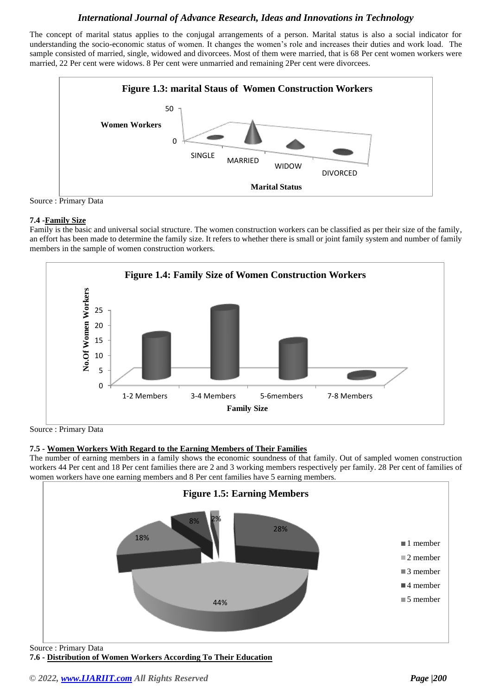The concept of marital status applies to the conjugal arrangements of a person. Marital status is also a social indicator for understanding the socio-economic status of women. It changes the women's role and increases their duties and work load. The sample consisted of married, single, widowed and divorcees. Most of them were married, that is 68 Per cent women workers were married, 22 Per cent were widows. 8 Per cent were unmarried and remaining 2Per cent were divorcees.



Source : Primary Data

### **7.4 -Family Size**

Family is the basic and universal social structure. The women construction workers can be classified as per their size of the family, an effort has been made to determine the family size. It refers to whether there is small or joint family system and number of family members in the sample of women construction workers.



Source : Primary Data

## **7.5 - Women Workers With Regard to the Earning Members of Their Families**

The number of earning members in a family shows the economic soundness of that family. Out of sampled women construction workers 44 Per cent and 18 Per cent families there are 2 and 3 working members respectively per family. 28 Per cent of families of women workers have one earning members and 8 Per cent families have 5 earning members.



**7.6 - Distribution of Women Workers According To Their Education**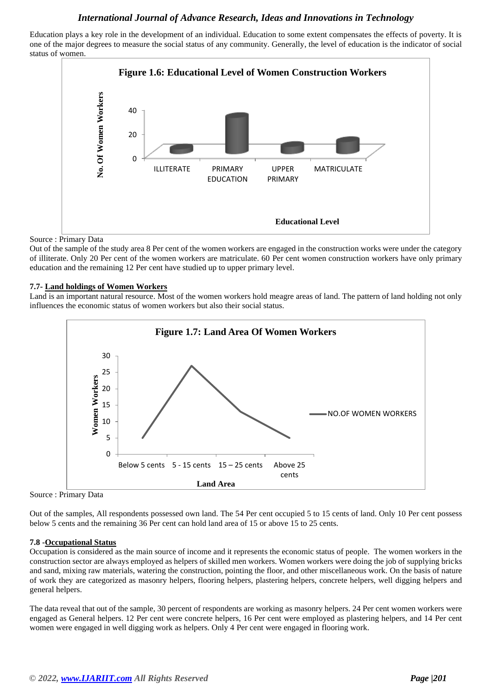Education plays a key role in the development of an individual. Education to some extent compensates the effects of poverty. It is one of the major degrees to measure the social status of any community. Generally, the level of education is the indicator of social status of women.



Source : Primary Data

Out of the sample of the study area 8 Per cent of the women workers are engaged in the construction works were under the category of illiterate. Only 20 Per cent of the women workers are matriculate. 60 Per cent women construction workers have only primary education and the remaining 12 Per cent have studied up to upper primary level.

#### **7.7- Land holdings of Women Workers**

Land is an important natural resource. Most of the women workers hold meagre areas of land. The pattern of land holding not only influences the economic status of women workers but also their social status.



Source : Primary Data

Out of the samples, All respondents possessed own land. The 54 Per cent occupied 5 to 15 cents of land. Only 10 Per cent possess below 5 cents and the remaining 36 Per cent can hold land area of 15 or above 15 to 25 cents.

### **7.8 -Occupational Status**

Occupation is considered as the main source of income and it represents the economic status of people. The women workers in the construction sector are always employed as helpers of skilled men workers. Women workers were doing the job of supplying bricks and sand, mixing raw materials, watering the construction, pointing the floor, and other miscellaneous work. On the basis of nature of work they are categorized as masonry helpers, flooring helpers, plastering helpers, concrete helpers, well digging helpers and general helpers.

The data reveal that out of the sample, 30 percent of respondents are working as masonry helpers. 24 Per cent women workers were engaged as General helpers. 12 Per cent were concrete helpers, 16 Per cent were employed as plastering helpers, and 14 Per cent women were engaged in well digging work as helpers. Only 4 Per cent were engaged in flooring work.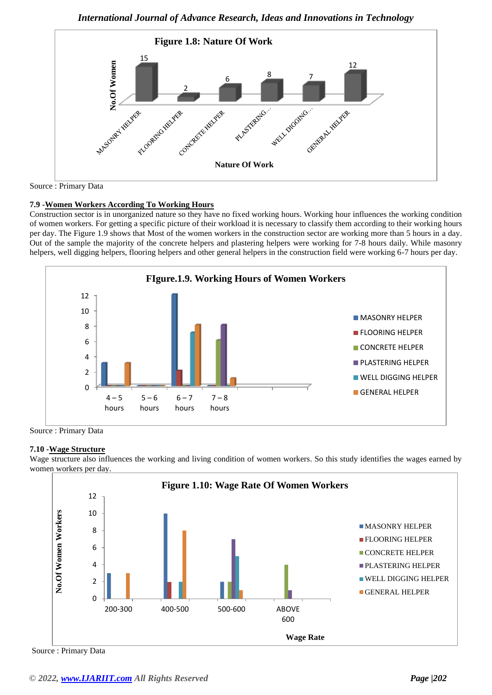

Source : Primary Data

### **7.9 -Women Workers According To Working Hours**

Construction sector is in unorganized nature so they have no fixed working hours. Working hour influences the working condition of women workers. For getting a specific picture of their workload it is necessary to classify them according to their working hours per day. The Figure 1.9 shows that Most of the women workers in the construction sector are working more than 5 hours in a day. Out of the sample the majority of the concrete helpers and plastering helpers were working for 7-8 hours daily. While masonry helpers, well digging helpers, flooring helpers and other general helpers in the construction field were working 6-7 hours per day.



Source : Primary Data

#### **7.10 -Wage Structure**

Wage structure also influences the working and living condition of women workers. So this study identifies the wages earned by women workers per day.



Source : Primary Data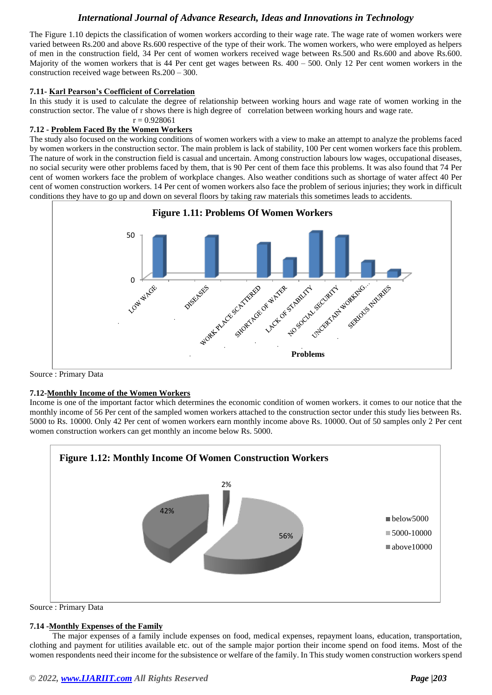The Figure 1.10 depicts the classification of women workers according to their wage rate. The wage rate of women workers were varied between Rs.200 and above Rs.600 respective of the type of their work. The women workers, who were employed as helpers of men in the construction field, 34 Per cent of women workers received wage between Rs.500 and Rs.600 and above Rs.600. Majority of the women workers that is 44 Per cent get wages between Rs.  $400 - 500$ . Only 12 Per cent women workers in the construction received wage between Rs.200 – 300.

#### **7.11- Karl Pearson's Coefficient of Correlation**

In this study it is used to calculate the degree of relationship between working hours and wage rate of women working in the construction sector. The value of r shows there is high degree of correlation between working hours and wage rate.

#### $r = 0.928061$

#### **7.12 - Problem Faced By the Women Workers**

The study also focused on the working conditions of women workers with a view to make an attempt to analyze the problems faced by women workers in the construction sector. The main problem is lack of stability, 100 Per cent women workers face this problem. The nature of work in the construction field is casual and uncertain. Among construction labours low wages, occupational diseases, no social security were other problems faced by them, that is 90 Per cent of them face this problems. It was also found that 74 Per cent of women workers face the problem of workplace changes. Also weather conditions such as shortage of water affect 40 Per cent of women construction workers. 14 Per cent of women workers also face the problem of serious injuries; they work in difficult conditions they have to go up and down on several floors by taking raw materials this sometimes leads to accidents.



Source : Primary Data

### **7.12-Monthly Income of the Women Workers**

Income is one of the important factor which determines the economic condition of women workers. it comes to our notice that the monthly income of 56 Per cent of the sampled women workers attached to the construction sector under this study lies between Rs. 5000 to Rs. 10000. Only 42 Per cent of women workers earn monthly income above Rs. 10000. Out of 50 samples only 2 Per cent women construction workers can get monthly an income below Rs. 5000.



Source : Primary Data

### **7.14 -Monthly Expenses of the Family**

 The major expenses of a family include expenses on food, medical expenses, repayment loans, education, transportation, clothing and payment for utilities available etc. out of the sample major portion their income spend on food items. Most of the women respondents need their income for the subsistence or welfare of the family. In This study women construction workers spend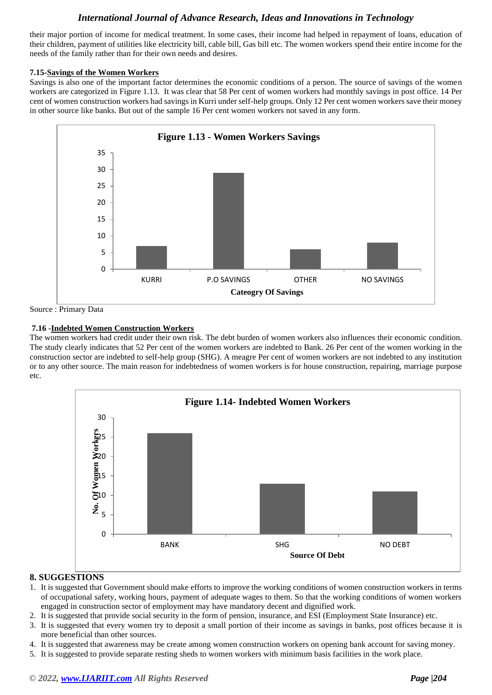their major portion of income for medical treatment. In some cases, their income had helped in repayment of loans, education of their children, payment of utilities like electricity bill, cable bill, Gas bill etc. The women workers spend their entire income for the needs of the family rather than for their own needs and desires.

### **7.15-Savings of the Women Workers**

Savings is also one of the important factor determines the economic conditions of a person. The source of savings of the women workers are categorized in Figure 1.13. It was clear that 58 Per cent of women workers had monthly savings in post office. 14 Per cent of women construction workers had savings in Kurri under self-help groups. Only 12 Per cent women workers save their money in other source like banks. But out of the sample 16 Per cent women workers not saved in any form.



Source : Primary Data

## **7.16 -Indebted Women Construction Workers**

The women workers had credit under their own risk. The debt burden of women workers also influences their economic condition. The study clearly indicates that 52 Per cent of the women workers are indebted to Bank. 26 Per cent of the women working in the construction sector are indebted to self-help group (SHG). A meagre Per cent of women workers are not indebted to any institution or to any other source. The main reason for indebtedness of women workers is for house construction, repairing, marriage purpose etc.



## **8. SUGGESTIONS**

- 1. It is suggested that Government should make efforts to improve the working conditions of women construction workers in terms of occupational safety, working hours, payment of adequate wages to them. So that the working conditions of women workers engaged in construction sector of employment may have mandatory decent and dignified work.
- 2. It is suggested that provide social security in the form of pension, insurance, and ESI (Employment State Insurance) etc.
- 3. It is suggested that every women try to deposit a small portion of their income as savings in banks, post offices because it is more beneficial than other sources.
- 4. It is suggested that awareness may be create among women construction workers on opening bank account for saving money.
- 5. It is suggested to provide separate resting sheds to women workers with minimum basis facilities in the work place.